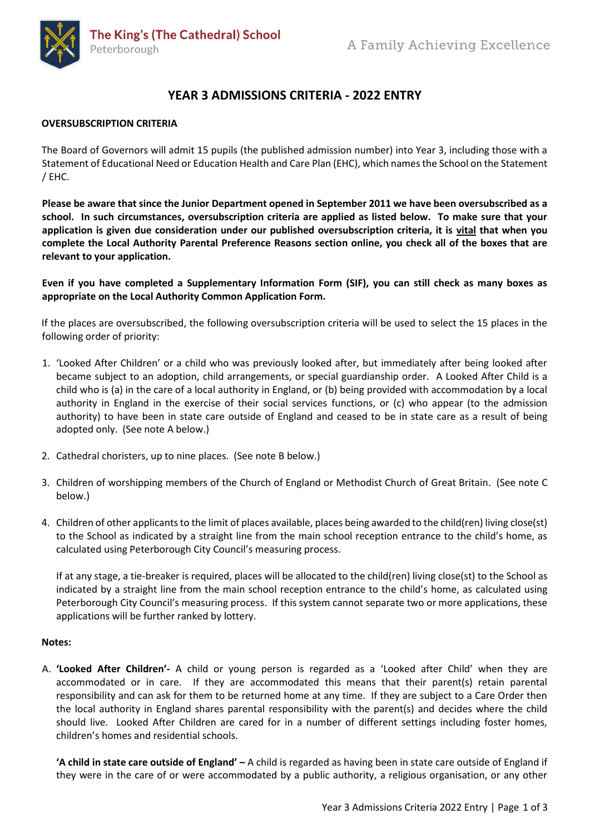

# **YEAR 3 ADMISSIONS CRITERIA - 2022 ENTRY**

### **OVERSUBSCRIPTION CRITERIA**

The Board of Governors will admit 15 pupils (the published admission number) into Year 3, including those with a Statement of Educational Need or Education Health and Care Plan (EHC), which names the School on the Statement / EHC.

**Please be aware that since the Junior Department opened in September 2011 we have been oversubscribed as a school. In such circumstances, oversubscription criteria are applied as listed below. To make sure that your application is given due consideration under our published oversubscription criteria, it is vital that when you complete the Local Authority Parental Preference Reasons section online, you check all of the boxes that are relevant to your application.**

**Even if you have completed a Supplementary Information Form (SIF), you can still check as many boxes as appropriate on the Local Authority Common Application Form.**

If the places are oversubscribed, the following oversubscription criteria will be used to select the 15 places in the following order of priority:

- 1. 'Looked After Children' or a child who was previously looked after, but immediately after being looked after became subject to an adoption, child arrangements, or special guardianship order. A Looked After Child is a child who is (a) in the care of a local authority in England, or (b) being provided with accommodation by a local authority in England in the exercise of their social services functions, or (c) who appear (to the admission authority) to have been in state care outside of England and ceased to be in state care as a result of being adopted only. (See note A below.)
- 2. Cathedral choristers, up to nine places. (See note B below.)
- 3. Children of worshipping members of the Church of England or Methodist Church of Great Britain. (See note C below.)
- 4. Children of other applicants to the limit of places available, places being awarded to the child(ren) living close(st) to the School as indicated by a straight line from the main school reception entrance to the child's home, as calculated using Peterborough City Council's measuring process.

If at any stage, a tie-breaker is required, places will be allocated to the child(ren) living close(st) to the School as indicated by a straight line from the main school reception entrance to the child's home, as calculated using Peterborough City Council's measuring process. If this system cannot separate two or more applications, these applications will be further ranked by lottery.

#### **Notes:**

A. **'Looked After Children'-** A child or young person is regarded as a 'Looked after Child' when they are accommodated or in care. If they are accommodated this means that their parent(s) retain parental responsibility and can ask for them to be returned home at any time. If they are subject to a Care Order then the local authority in England shares parental responsibility with the parent(s) and decides where the child should live. Looked After Children are cared for in a number of different settings including foster homes, children's homes and residential schools.

**'A child in state care outside of England' –** A child is regarded as having been in state care outside of England if they were in the care of or were accommodated by a public authority, a religious organisation, or any other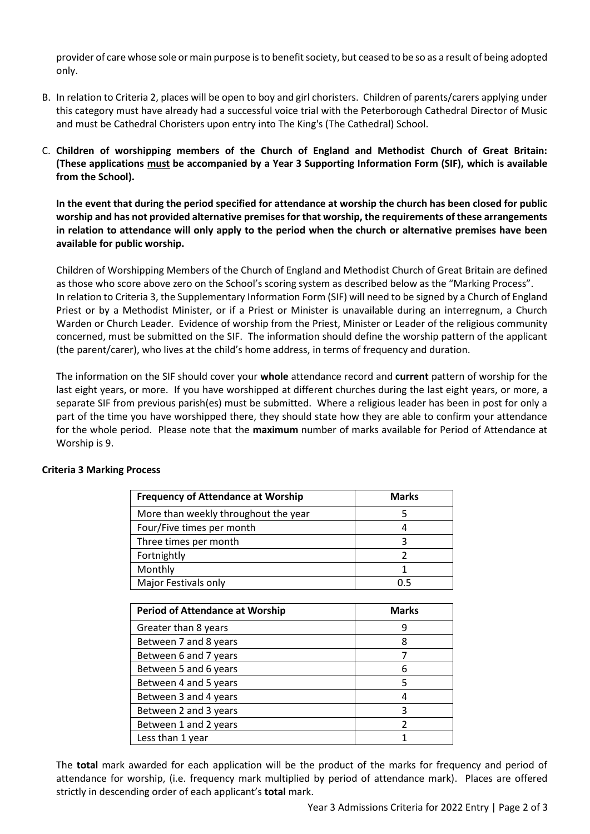provider of care whose sole or main purpose is to benefit society, but ceased to be so as a result of being adopted only.

- B. In relation to Criteria 2, places will be open to boy and girl choristers. Children of parents/carers applying under this category must have already had a successful voice trial with the Peterborough Cathedral Director of Music and must be Cathedral Choristers upon entry into The King's (The Cathedral) School.
- C. **Children of worshipping members of the Church of England and Methodist Church of Great Britain: (These applications must be accompanied by a Year 3 Supporting Information Form (SIF), which is available from the School).**

**In the event that during the period specified for attendance at worship the church has been closed for public worship and has not provided alternative premises for that worship, the requirements of these arrangements in relation to attendance will only apply to the period when the church or alternative premises have been available for public worship.**

Children of Worshipping Members of the Church of England and Methodist Church of Great Britain are defined as those who score above zero on the School's scoring system as described below as the "Marking Process". In relation to Criteria 3, the Supplementary Information Form (SIF) will need to be signed by a Church of England Priest or by a Methodist Minister, or if a Priest or Minister is unavailable during an interregnum, a Church Warden or Church Leader. Evidence of worship from the Priest, Minister or Leader of the religious community concerned, must be submitted on the SIF. The information should define the worship pattern of the applicant (the parent/carer), who lives at the child's home address, in terms of frequency and duration.

The information on the SIF should cover your **whole** attendance record and **current** pattern of worship for the last eight years, or more. If you have worshipped at different churches during the last eight years, or more, a separate SIF from previous parish(es) must be submitted. Where a religious leader has been in post for only a part of the time you have worshipped there, they should state how they are able to confirm your attendance for the whole period. Please note that the **maximum** number of marks available for Period of Attendance at Worship is 9.

| <b>Frequency of Attendance at Worship</b> | <b>Marks</b> |
|-------------------------------------------|--------------|
| More than weekly throughout the year      |              |
| Four/Five times per month                 |              |
| Three times per month                     |              |
| Fortnightly                               |              |
| Monthly                                   |              |
| Major Festivals only                      |              |

## **Criteria 3 Marking Process**

| <b>Period of Attendance at Worship</b> | <b>Marks</b> |
|----------------------------------------|--------------|
| Greater than 8 years                   |              |
| Between 7 and 8 years                  | 8            |
| Between 6 and 7 years                  |              |
| Between 5 and 6 years                  | 6            |
| Between 4 and 5 years                  | 5            |
| Between 3 and 4 years                  |              |
| Between 2 and 3 years                  | 3            |
| Between 1 and 2 years                  | 2            |
| Less than 1 year                       |              |

The **total** mark awarded for each application will be the product of the marks for frequency and period of attendance for worship, (i.e. frequency mark multiplied by period of attendance mark). Places are offered strictly in descending order of each applicant's **total** mark.